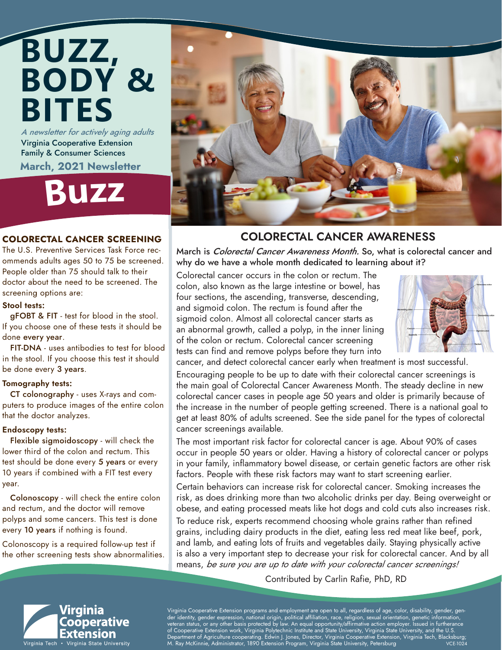# **BUZZ, BODY & BITES** A newsletter for actively aging adults

Virginia Cooperative Extension Family & Consumer Sciences March, 2021 Newsletter

**Buz<sup>z</sup>**

### COLORECTAL CANCER SCREENING

The U.S. Preventive Services Task Force recommends adults ages 50 to 75 be screened. People older than 75 should talk to their doctor about the need to be screened. The screening options are:

### Stool tests:

 gFOBT & FIT - test for blood in the stool. If you choose one of these tests it should be done every year.

 FIT-DNA - uses antibodies to test for blood in the stool. If you choose this test it should be done every 3 years.

### Tomography tests:

 CT colonography - uses X-rays and computers to produce images of the entire colon that the doctor analyzes.

### Endoscopy tests:

 Flexible sigmoidoscopy - will check the lower third of the colon and rectum. This test should be done every 5 years or every 10 years if combined with a FIT test every year.

 Colonoscopy - will check the entire colon and rectum, and the doctor will remove polyps and some cancers. This test is done every 10 years if nothing is found.

Colonoscopy is a required follow-up test if the other screening tests show abnormalities.



### COLORECTAL CANCER AWARENESS

March is Colorectal Cancer Awareness Month. So, what is colorectal cancer and why do we have a whole month dedicated to learning about it?

Colorectal cancer occurs in the colon or rectum. The colon, also known as the large intestine or bowel, has four sections, the ascending, transverse, descending, and sigmoid colon. The rectum is found after the sigmoid colon. Almost all colorectal cancer starts as an abnormal growth, called a polyp, in the inner lining of the colon or rectum. Colorectal cancer screening tests can find and remove polyps before they turn into



cancer, and detect colorectal cancer early when treatment is most successful.

Encouraging people to be up to date with their colorectal cancer screenings is the main goal of Colorectal Cancer Awareness Month. The steady decline in new colorectal cancer cases in people age 50 years and older is primarily because of the increase in the number of people getting screened. There is a national goal to get at least 80% of adults screened. See the side panel for the types of colorectal cancer screenings available.

The most important risk factor for colorectal cancer is age. About 90% of cases occur in people 50 years or older. Having a history of colorectal cancer or polyps in your family, inflammatory bowel disease, or certain genetic factors are other risk factors. People with these risk factors may want to start screening earlier.

Certain behaviors can increase risk for colorectal cancer. Smoking increases the risk, as does drinking more than two alcoholic drinks per day. Being overweight or obese, and eating processed meats like hot dogs and cold cuts also increases risk.

To reduce risk, experts recommend choosing whole grains rather than refined grains, including dairy products in the diet, eating less red meat like beef, pork, and lamb, and eating lots of fruits and vegetables daily. Staying physically active is also a very important step to decrease your risk for colorectal cancer. And by all means, be sure you are up to date with your colorectal cancer screenings!

Contributed by Carlin Rafie, PhD, RD



Virginia Cooperative Extension programs and employment are open to all, regardless of age, color, disability, gender, gender identity, gender expression, national origin, political affiliation, race, religion, sexual orientation, genetic information, veteran status, or any other basis protected by law. An equal opportunity/affirmative action employer. Issued in furtherance of Cooperative Extension work, Virginia Polytechnic Institute and State University, Virginia State University, and the U.S. , Department of Agriculture cooperating. Edwin J. Jones, Director, Virginia Cooperative Extension, Virginia Tech, Blacksburg;<br>M. Ray McKinnie, Administrator, 1890 Extension Program, Virginia State University, Petersburg